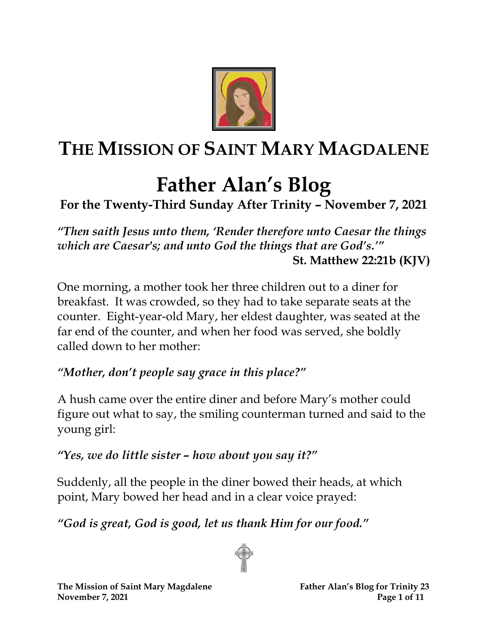

# **THE MISSION OF SAINT MARY MAGDALENE**

# **Father Alan's Blog**

# **For the Twenty-Third Sunday After Trinity – November 7, 2021**

*"Then saith Jesus unto them, 'Render therefore unto Caesar the things which are Caesar's; and unto God the things that are God's.'"* **St. Matthew 22:21b (KJV)**

One morning, a mother took her three children out to a diner for breakfast. It was crowded, so they had to take separate seats at the counter. Eight-year-old Mary, her eldest daughter, was seated at the far end of the counter, and when her food was served, she boldly called down to her mother:

#### *"Mother, don't people say grace in this place?"*

A hush came over the entire diner and before Mary's mother could figure out what to say, the smiling counterman turned and said to the young girl:

#### *"Yes, we do little sister – how about you say it?"*

Suddenly, all the people in the diner bowed their heads, at which point, Mary bowed her head and in a clear voice prayed:

*"God is great, God is good, let us thank Him for our food."*

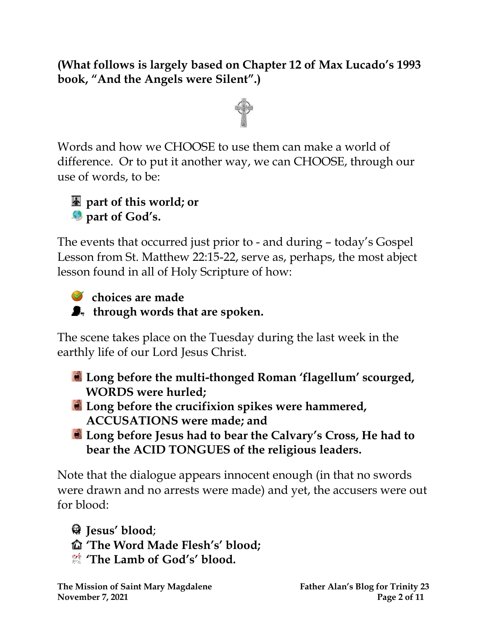**(What follows is largely based on Chapter 12 of Max Lucado's 1993 book, "And the Angels were Silent".)**



Words and how we CHOOSE to use them can make a world of difference. Or to put it another way, we can CHOOSE, through our use of words, to be:



The events that occurred just prior to - and during – today's Gospel Lesson from St. Matthew 22:15-22, serve as, perhaps, the most abject lesson found in all of Holy Scripture of how:



#### *Choices are made*

 $\bullet$  through words that are spoken.

The scene takes place on the Tuesday during the last week in the earthly life of our Lord Jesus Christ.

- **Long before the multi-thonged Roman 'flagellum' scourged, WORDS were hurled;**
- **Long before the crucifixion spikes were hammered, ACCUSATIONS were made; and**
- **Long before Jesus had to bear the Calvary's Cross, He had to bear the ACID TONGUES of the religious leaders.**

Note that the dialogue appears innocent enough (in that no swords were drawn and no arrests were made) and yet, the accusers were out for blood:

**Jesus' blood**; **'The Word Made Flesh's' blood; 'The Lamb of God's' blood.**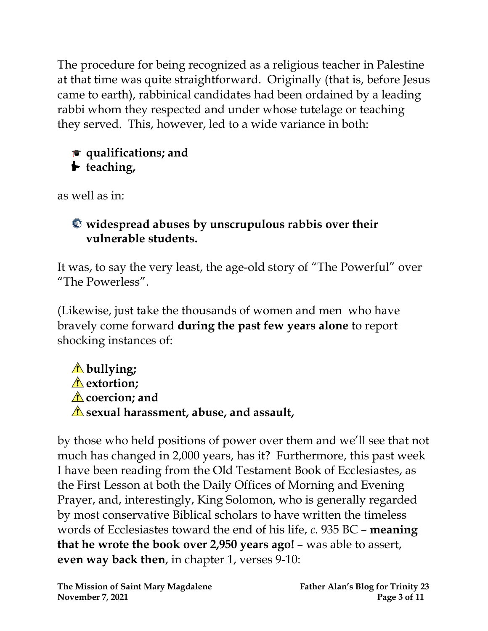The procedure for being recognized as a religious teacher in Palestine at that time was quite straightforward. Originally (that is, before Jesus came to earth), rabbinical candidates had been ordained by a leading rabbi whom they respected and under whose tutelage or teaching they served. This, however, led to a wide variance in both:

## **qualifications; and t** teaching,

as well as in:

## **widespread abuses by unscrupulous rabbis over their vulnerable students.**

It was, to say the very least, the age-old story of "The Powerful" over "The Powerless".

(Likewise, just take the thousands of women and men who have bravely come forward **during the past few years alone** to report shocking instances of:

```
bullying;
A extortion:
coercion; and
sexual harassment, abuse, and assault,
```
by those who held positions of power over them and we'll see that not much has changed in 2,000 years, has it? Furthermore, this past week I have been reading from the Old Testament Book of Ecclesiastes, as the First Lesson at both the Daily Offices of Morning and Evening Prayer, and, interestingly, King Solomon, who is generally regarded by most conservative Biblical scholars to have written the timeless words of Ecclesiastes toward the end of his life, *c.* 935 BC – **meaning that he wrote the book over 2,950 years ago!** – was able to assert, **even way back then**, in chapter 1, verses 9-10: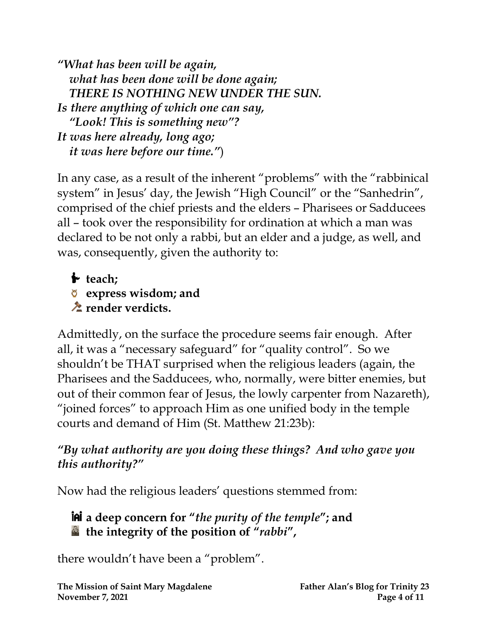*"What has been will be again, what has been done will be done again; THERE IS NOTHING NEW UNDER THE SUN. Is there anything of which one can say, "Look! This is something new"? It was here already, long ago; it was here before our time."*)

In any case, as a result of the inherent "problems" with the "rabbinical system" in Jesus' day, the Jewish "High Council" or the "Sanhedrin", comprised of the chief priests and the elders – Pharisees or Sadducees all – took over the responsibility for ordination at which a man was declared to be not only a rabbi, but an elder and a judge, as well, and was, consequently, given the authority to:

**teach; express wisdom; and** *<u><b>* render verdicts.</u>

Admittedly, on the surface the procedure seems fair enough. After all, it was a "necessary safeguard" for "quality control". So we shouldn't be THAT surprised when the religious leaders (again, the Pharisees and the Sadducees, who, normally, were bitter enemies, but out of their common fear of Jesus, the lowly carpenter from Nazareth), "joined forces" to approach Him as one unified body in the temple courts and demand of Him (St. Matthew 21:23b):

#### *"By what authority are you doing these things? And who gave you this authority?"*

Now had the religious leaders' questions stemmed from:

## **a deep concern for "***the purity of the temple***"; and the integrity of the position of "***rabbi***" ,**

there wouldn't have been a "problem".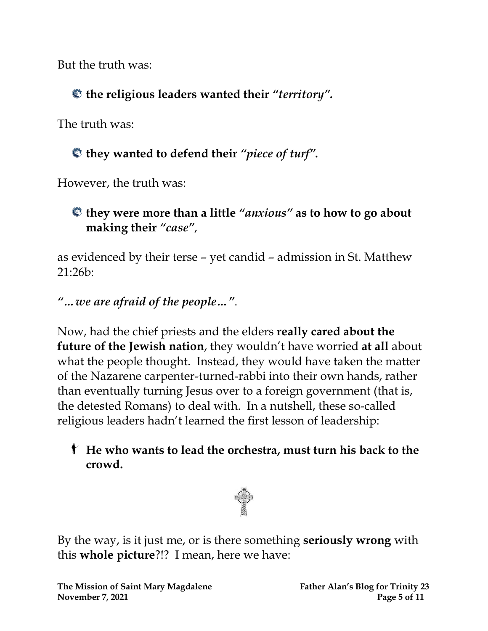But the truth was:

**the religious leaders wanted their** *"territory".*

The truth was:

# **they wanted to defend their** *"piece of turf".*

However, the truth was:

# **they were more than a little** *"anxious"* **as to how to go about making their** *"case"*,

as evidenced by their terse – yet candid – admission in St. Matthew 21:26b:

*"…we are afraid of the people…"*.

Now, had the chief priests and the elders **really cared about the future of the Jewish nation**, they wouldn't have worried **at all** about what the people thought. Instead, they would have taken the matter of the Nazarene carpenter-turned-rabbi into their own hands, rather than eventually turning Jesus over to a foreign government (that is, the detested Romans) to deal with. In a nutshell, these so-called religious leaders hadn't learned the first lesson of leadership:

## **He who wants to lead the orchestra, must turn his back to the crowd.**



By the way, is it just me, or is there something **seriously wrong** with this **whole picture**?!? I mean, here we have: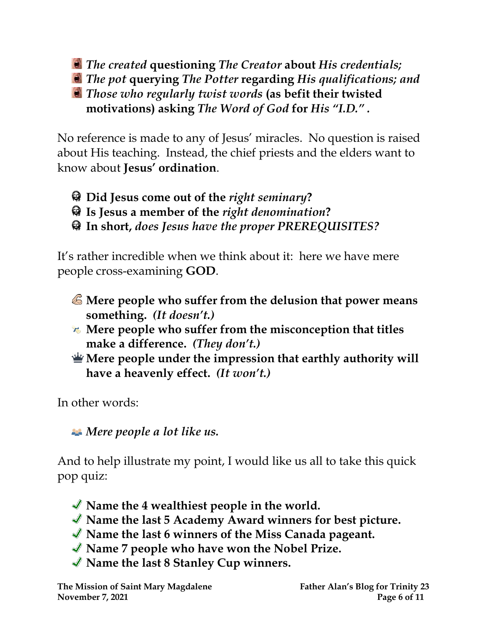*The created* **questioning** *The Creator* **about** *His credentials; The pot* **querying** *The Potter* **regarding** *His qualifications; and Those who regularly twist words* **(as befit their twisted motivations) asking** *The Word of God* **for** *His "I.D." .*

No reference is made to any of Jesus' miracles. No question is raised about His teaching. Instead, the chief priests and the elders want to know about **Jesus' ordination**.

- **Did Jesus come out of the** *right seminary***?**
- **Is Jesus a member of the** *right denomination***?**
- **In short,** *does Jesus have the proper PREREQUISITES?*

It's rather incredible when we think about it: here we have mere people cross-examining **GOD**.

- **Mere people who suffer from the delusion that power means something.** *(It doesn't.)*
- **Mere people who suffer from the misconception that titles make a difference.** *(They don't.)*
- **Mere people under the impression that earthly authority will have a heavenly effect.** *(It won't.)*

In other words:

*Mere people a lot like us.*

And to help illustrate my point, I would like us all to take this quick pop quiz:

- **Name the 4 wealthiest people in the world.**
- **Name the last 5 Academy Award winners for best picture.**
- **Name the last 6 winners of the Miss Canada pageant.**
- **Name 7 people who have won the Nobel Prize.**
- **Name the last 8 Stanley Cup winners.**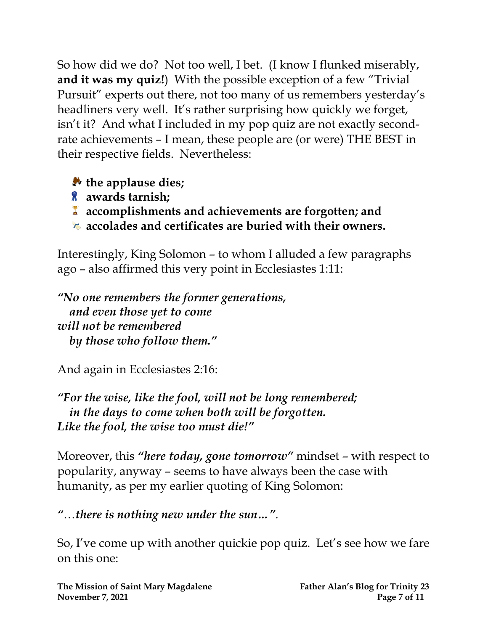So how did we do? Not too well, I bet. (I know I flunked miserably, **and it was my quiz!**) With the possible exception of a few "Trivial Pursuit" experts out there, not too many of us remembers yesterday's headliners very well. It's rather surprising how quickly we forget, isn't it? And what I included in my pop quiz are not exactly secondrate achievements – I mean, these people are (or were) THE BEST in their respective fields. Nevertheless:

**the applause dies;**

- **awards tarnish;**
- **accomplishments and achievements are forgotten; and**
- **accolades and certificates are buried with their owners.**

Interestingly, King Solomon – to whom I alluded a few paragraphs ago – also affirmed this very point in Ecclesiastes 1:11:

*"No one remembers the former generations, and even those yet to come will not be remembered by those who follow them."*

And again in Ecclesiastes 2:16:

*"For the wise, like the fool, will not be long remembered; in the days to come when both will be forgotten. Like the fool, the wise too must die!"*

Moreover, this *"here today, gone tomorrow"* mindset – with respect to popularity, anyway – seems to have always been the case with humanity, as per my earlier quoting of King Solomon:

*"…there is nothing new under the sun…"*.

So, I've come up with another quickie pop quiz. Let's see how we fare on this one: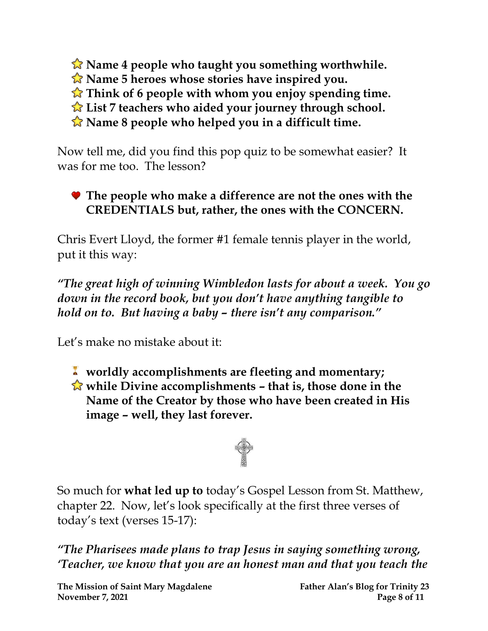**Name 4 people who taught you something worthwhile.**

**Name 5 heroes whose stories have inspired you.**

**Think of 6 people with whom you enjoy spending time.**

**List 7 teachers who aided your journey through school.**

**Name 8 people who helped you in a difficult time.**

Now tell me, did you find this pop quiz to be somewhat easier? It was for me too. The lesson?

#### **The people who make a difference are not the ones with the CREDENTIALS but, rather, the ones with the CONCERN.**

Chris Evert Lloyd, the former #1 female tennis player in the world, put it this way:

*"The great high of winning Wimbledon lasts for about a week. You go down in the record book, but you don't have anything tangible to hold on to. But having a baby – there isn't any comparison."*

Let's make no mistake about it:

- **worldly accomplishments are fleeting and momentary;**
- **while Divine accomplishments – that is, those done in the Name of the Creator by those who have been created in His image – well, they last forever.**



So much for **what led up to** today's Gospel Lesson from St. Matthew, chapter 22. Now, let's look specifically at the first three verses of today's text (verses 15-17):

*"The Pharisees made plans to trap Jesus in saying something wrong, 'Teacher, we know that you are an honest man and that you teach the*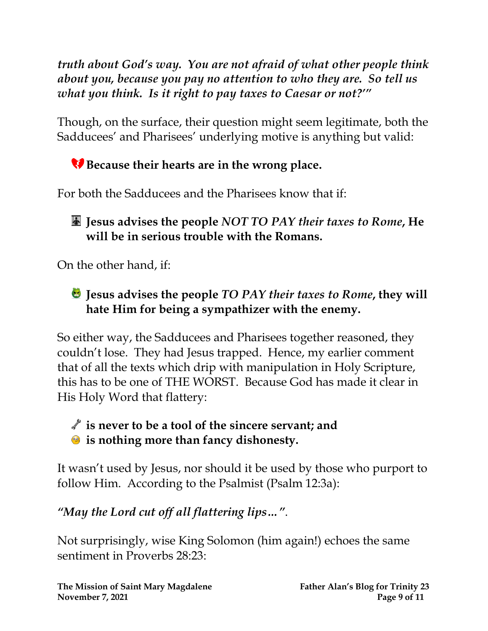*truth about God's way. You are not afraid of what other people think about you, because you pay no attention to who they are. So tell us what you think. Is it right to pay taxes to Caesar or not?'"*

Though, on the surface, their question might seem legitimate, both the Sadducees' and Pharisees' underlying motive is anything but valid:

# **Because their hearts are in the wrong place.**

For both the Sadducees and the Pharisees know that if:

### **Jesus advises the people** *NOT TO PAY their taxes to Rome***, He will be in serious trouble with the Romans.**

On the other hand, if:

## **Jesus advises the people** *TO PAY their taxes to Rome***, they will hate Him for being a sympathizer with the enemy.**

So either way, the Sadducees and Pharisees together reasoned, they couldn't lose. They had Jesus trapped. Hence, my earlier comment that of all the texts which drip with manipulation in Holy Scripture, this has to be one of THE WORST. Because God has made it clear in His Holy Word that flattery:

## **is never to be a tool of the sincere servant; and is nothing more than fancy dishonesty.**

It wasn't used by Jesus, nor should it be used by those who purport to follow Him. According to the Psalmist (Psalm 12:3a):

# *"May the Lord cut off all flattering lips…"*.

Not surprisingly, wise King Solomon (him again!) echoes the same sentiment in Proverbs 28:23: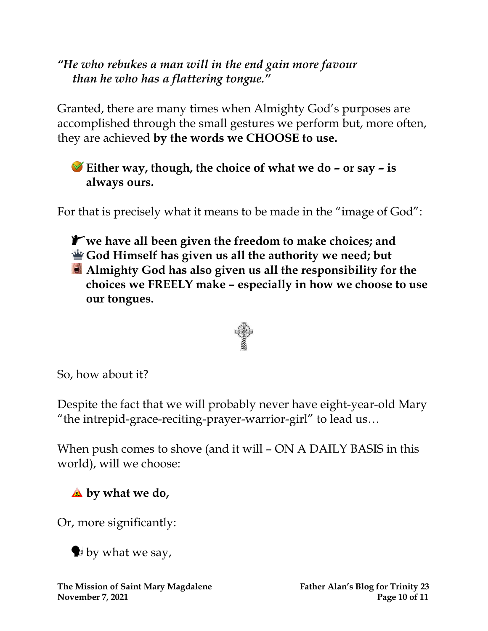#### *"He who rebukes a man will in the end gain more favour than he who has a flattering tongue."*

Granted, there are many times when Almighty God's purposes are accomplished through the small gestures we perform but, more often, they are achieved **by the words we CHOOSE to use.**

**Either way, though, the choice of what we do – or say – is always ours.**

For that is precisely what it means to be made in the "image of God":

**we have all been given the freedom to make choices; and God Himself has given us all the authority we need; but Almighty God has also given us all the responsibility for the choices we FREELY make – especially in how we choose to use our tongues.**



So, how about it?

Despite the fact that we will probably never have eight-year-old Mary "the intrepid-grace-reciting-prayer-warrior-girl" to lead us…

When push comes to shove (and it will – ON A DAILY BASIS in this world), will we choose:

**by what we do,**

Or, more significantly:

 $\blacktriangleright$  by what we say,